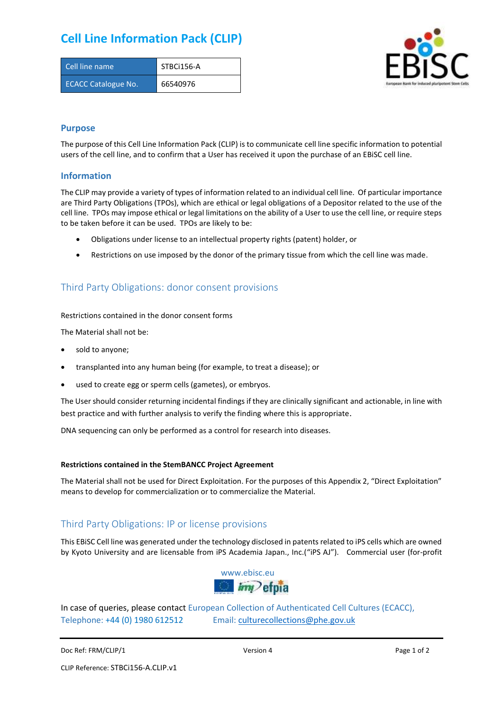# **Cell Line Information Pack (CLIP)**

| Cell line name             | STBCi156-A |
|----------------------------|------------|
| <b>ECACC Catalogue No.</b> | 66540976   |



### **Purpose**

The purpose of this Cell Line Information Pack (CLIP) is to communicate cell line specific information to potential users of the cell line, and to confirm that a User has received it upon the purchase of an EBiSC cell line.

### **Information**

The CLIP may provide a variety of types of information related to an individual cell line. Of particular importance are Third Party Obligations (TPOs), which are ethical or legal obligations of a Depositor related to the use of the cell line. TPOs may impose ethical or legal limitations on the ability of a User to use the cell line, or require steps to be taken before it can be used. TPOs are likely to be:

- Obligations under license to an intellectual property rights (patent) holder, or
- Restrictions on use imposed by the donor of the primary tissue from which the cell line was made.

## Third Party Obligations: donor consent provisions

#### Restrictions contained in the donor consent forms

The Material shall not be:

- sold to anyone;
- transplanted into any human being (for example, to treat a disease); or
- used to create egg or sperm cells (gametes), or embryos.

The User should consider returning incidental findings if they are clinically significant and actionable, in line with best practice and with further analysis to verify the finding where this is appropriate.

DNA sequencing can only be performed as a control for research into diseases.

#### **Restrictions contained in the StemBANCC Project Agreement**

The Material shall not be used for Direct Exploitation. For the purposes of this Appendix 2, "Direct Exploitation" means to develop for commercialization or to commercialize the Material.

## Third Party Obligations: IP or license provisions

This EBiSC Cell line was generated under the technology disclosed in patents related to iPS cells which are owned by Kyoto University and are licensable from iPS Academia Japan., Inc.("iPS AJ"). Commercial user (for-profit



In case of queries, please contact European Collection of Authenticated Cell Cultures (ECACC), Telephone: +44 (0) 1980 612512 Email: [culturecollections@phe.gov.uk](mailto:culturecollections@phe.gov.uk)